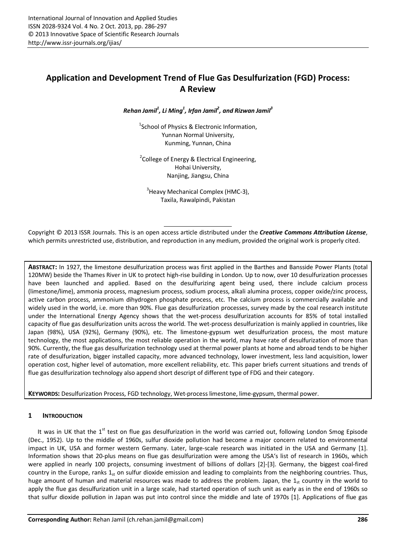# **Application and Development Trend of Flue Gas Desulfurization (FGD) Process: A Review**

*Rehan Jamil1 , Li Ming1 , Irfan Jamil2 , and Rizwan Jamil3*

1 School of Physics & Electronic Information, Yunnan Normal University, Kunming, Yunnan, China

<sup>2</sup> College of Energy & Electrical Engineering, Hohai University, Nanjing, Jiangsu, China

<sup>3</sup> Heavy Mechanical Complex (HMC-3), Taxila, Rawalpindi, Pakistan

Copyright © 2013 ISSR Journals. This is an open access article distributed under the *Creative Commons Attribution License*, which permits unrestricted use, distribution, and reproduction in any medium, provided the original work is properly cited.

**ABSTRACT:** In 1927, the limestone desulfurization process was first applied in the Barthes and Bansside Power Plants (total 120MW) beside the Thames River in UK to protect high-rise building in London. Up to now, over 10 desulfurization processes have been launched and applied. Based on the desulfurizing agent being used, there include calcium process (limestone/lime), ammonia process, magnesium process, sodium process, alkali alumina process, copper oxide/zinc process, active carbon process, ammonium dihydrogen phosphate process, etc. The calcium process is commercially available and widely used in the world, i.e. more than 90%. Flue gas desulfurization processes, survey made by the coal research institute under the International Energy Agency shows that the wet-process desulfurization accounts for 85% of total installed capacity of flue gas desulfurization units across the world. The wet-process desulfurization is mainly applied in countries, like Japan (98%), USA (92%), Germany (90%), etc. The limestone-gypsum wet desulfurization process, the most mature technology, the most applications, the most reliable operation in the world, may have rate of desulfurization of more than 90%. Currently, the flue gas desulfurization technology used at thermal power plants at home and abroad tends to be higher rate of desulfurization, bigger installed capacity, more advanced technology, lower investment, less land acquisition, lower operation cost, higher level of automation, more excellent reliability, etc. This paper briefs current situations and trends of flue gas desulfurization technology also append short descript of different type of FDG and their category.

**KEYWORDS:** Desulfurization Process, FGD technology, Wet-process limestone, lime-gypsum, thermal power.

## **1 INTRODUCTION**

It was in UK that the  $1<sup>st</sup>$  test on flue gas desulfurization in the world was carried out, following London Smog Episode (Dec., 1952). Up to the middle of 1960s, sulfur dioxide pollution had become a major concern related to environmental impact in UK, USA and former western Germany. Later, large-scale research was initiated in the USA and Germany [1]. Information shows that 20-plus means on flue gas desulfurization were among the USA's list of research in 1960s, which were applied in nearly 100 projects, consuming investment of billions of dollars [2]-[3]. Germany, the biggest coal-fired country in the Europe, ranks  $1_{st}$  on sulfur dioxide emission and leading to complaints from the neighboring countries. Thus, huge amount of human and material resources was made to address the problem. Japan, the  $1_{st}$  country in the world to apply the flue gas desulfurization unit in a large scale, had started operation of such unit as early as in the end of 1960s so that sulfur dioxide pollution in Japan was put into control since the middle and late of 1970s [1]. Applications of flue gas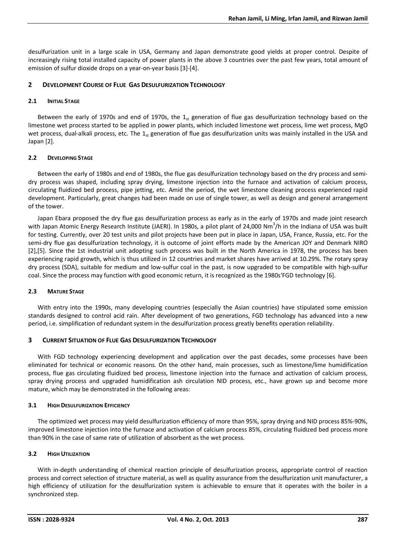desulfurization unit in a large scale in USA, Germany and Japan demonstrate good yields at proper control. Despite of increasingly rising total installed capacity of power plants in the above 3 countries over the past few years, total amount of emission of sulfur dioxide drops on a year-on-year basis [3]-[4].

## **2 DEVELOPMENT COURSE OF FLUE GAS DESULFURIZATION TECHNOLOGY**

## **2.1 INITIAL STAGE**

Between the early of 1970s and end of 1970s, the  $1_{st}$  generation of flue gas desulfurization technology based on the limestone wet process started to be applied in power plants, which included limestone wet process, lime wet process, MgO wet process, dual-alkali process, etc. The  $1_{st}$  generation of flue gas desulfurization units was mainly installed in the USA and Japan [2].

## **2.2 DEVELOPING STAGE**

Between the early of 1980s and end of 1980s, the flue gas desulfurization technology based on the dry process and semidry process was shaped, including spray drying, limestone injection into the furnace and activation of calcium process, circulating fluidized bed process, pipe jetting, etc. Amid the period, the wet limestone cleaning process experienced rapid development. Particularly, great changes had been made on use of single tower, as well as design and general arrangement of the tower.

Japan Ebara proposed the dry flue gas desulfurization process as early as in the early of 1970s and made joint research with Japan Atomic Energy Research Institute (JAERI). In 1980s, a pilot plant of 24,000 Nm<sup>3</sup>/h in the Indiana of USA was built for testing. Currently, over 20 test units and pilot projects have been put in place in Japan, USA, France, Russia, etc. For the semi-dry flue gas desulfurization technology, it is outcome of joint efforts made by the American JOY and Denmark NIRO [2],[5]. Since the 1st industrial unit adopting such process was built in the North America in 1978, the process has been experiencing rapid growth, which is thus utilized in 12 countries and market shares have arrived at 10.29%. The rotary spray dry process (SDA), suitable for medium and low-sulfur coal in the past, is now upgraded to be compatible with high-sulfur coal. Since the process may function with good economic return, it is recognized as the 1980s'FGD technology [6].

## **2.3 MATURE STAGE**

With entry into the 1990s, many developing countries (especially the Asian countries) have stipulated some emission standards designed to control acid rain. After development of two generations, FGD technology has advanced into a new period, i.e. simplification of redundant system in the desulfurization process greatly benefits operation reliability.

# **3 CURRENT SITUATION OF FLUE GAS DESULFURIZATION TECHNOLOGY**

With FGD technology experiencing development and application over the past decades, some processes have been eliminated for technical or economic reasons. On the other hand, main processes, such as limestone/lime humidification process, flue gas circulating fluidized bed process, limestone injection into the furnace and activation of calcium process, spray drying process and upgraded humidification ash circulation NID process, etc., have grown up and become more mature, which may be demonstrated in the following areas:

## **3.1 HIGH DESULFURIZATION EFFICIENCY**

The optimized wet process may yield desulfurization efficiency of more than 95%, spray drying and NID process 85%-90%, improved limestone injection into the furnace and activation of calcium process 85%, circulating fluidized bed process more than 90% in the case of same rate of utilization of absorbent as the wet process.

# **3.2 HIGH UTILIZATION**

With in-depth understanding of chemical reaction principle of desulfurization process, appropriate control of reaction process and correct selection of structure material, as well as quality assurance from the desulfurization unit manufacturer, a high efficiency of utilization for the desulfurization system is achievable to ensure that it operates with the boiler in a synchronized step.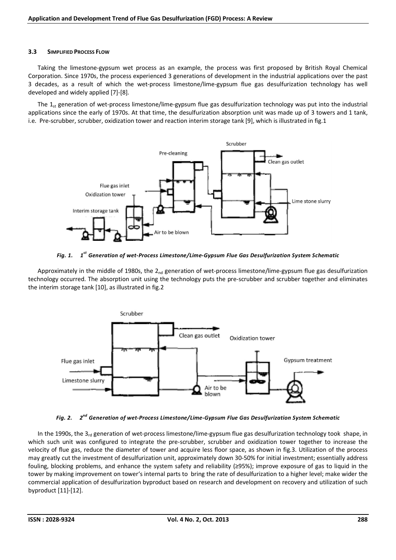#### **3.3 SIMPLIFIED PROCESS FLOW**

Taking the limestone-gypsum wet process as an example, the process was first proposed by British Royal Chemical Corporation. Since 1970s, the process experienced 3 generations of development in the industrial applications over the past 3 decades, as a result of which the wet-process limestone/lime-gypsum flue gas desulfurization technology has well developed and widely applied [7]-[8].

The  $1_{st}$  generation of wet-process limestone/lime-gypsum flue gas desulfurization technology was put into the industrial applications since the early of 1970s. At that time, the desulfurization absorption unit was made up of 3 towers and 1 tank, i.e. Pre-scrubber, scrubber, oxidization tower and reaction interim storage tank [9], which is illustrated in fig.1



*Fig. 1. 1st Generation of wet-Process Limestone/Lime-Gypsum Flue Gas Desulfurization System Schematic* 

Approximately in the middle of 1980s, the  $2_{nd}$  generation of wet-process limestone/lime-gypsum flue gas desulfurization technology occurred. The absorption unit using the technology puts the pre-scrubber and scrubber together and eliminates the interim storage tank [10], as illustrated in fig.2



*Fig. 2. 2nd Generation of wet-Process Limestone/Lime-Gypsum Flue Gas Desulfurization System Schematic* 

In the 1990s, the  $3<sub>rd</sub>$  generation of wet-process limestone/lime-gypsum flue gas desulfurization technology took shape, in which such unit was configured to integrate the pre-scrubber, scrubber and oxidization tower together to increase the velocity of flue gas, reduce the diameter of tower and acquire less floor space, as shown in fig.3. Utilization of the process may greatly cut the investment of desulfurization unit, approximately down 30-50% for initial investment; essentially address fouling, blocking problems, and enhance the system safety and reliability (≥95%); improve exposure of gas to liquid in the tower by making improvement on tower's internal parts to bring the rate of desulfurization to a higher level; make wider the commercial application of desulfurization byproduct based on research and development on recovery and utilization of such byproduct [11]-[12].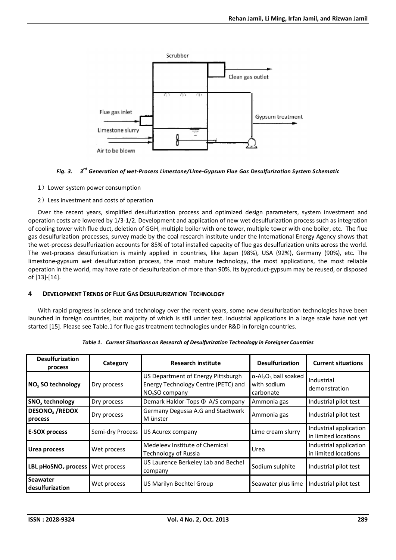

#### *Fig. 3. 3rd Generation of wet-Process Limestone/Lime-Gypsum Flue Gas Desulfurization System Schematic*

- 1) Lower system power consumption
- 2)Less investment and costs of operation

Over the recent years, simplified desulfurization process and optimized design parameters, system investment and operation costs are lowered by 1/3-1/2. Development and application of new wet desulfurization process such as integration of cooling tower with flue duct, deletion of GGH, multiple boiler with one tower, multiple tower with one boiler, etc. The flue gas desulfurization processes, survey made by the coal research institute under the International Energy Agency shows that the wet-process desulfurization accounts for 85% of total installed capacity of flue gas desulfurization units across the world. The wet-process desulfurization is mainly applied in countries, like Japan (98%), USA (92%), Germany (90%), etc. The limestone-gypsum wet desulfurization process, the most mature technology, the most applications, the most reliable operation in the world, may have rate of desulfurization of more than 90%. Its byproduct-gypsum may be reused, or disposed of [13]-[14].

## **4 DEVELOPMENT TRENDS OF FLUE GAS DESULFURIZATION TECHNOLOGY**

With rapid progress in science and technology over the recent years, some new desulfurization technologies have been launched in foreign countries, but majority of which is still under test. Industrial applications in a large scale have not yet started [15]. Please see Table.1 for flue gas treatment technologies under R&D in foreign countries.

| <b>Desulfurization</b><br>process            | Category         | <b>Research institute</b>                                                                               | <b>Desulfurization</b>                                                           | <b>Current situations</b>                      |
|----------------------------------------------|------------------|---------------------------------------------------------------------------------------------------------|----------------------------------------------------------------------------------|------------------------------------------------|
| NO <sub>x</sub> SO technology                | Dry process      | US Department of Energy Pittsburgh<br>Energy Technology Centre (PETC) and<br>NO <sub>v</sub> SO company | $\alpha$ -Al <sub>2</sub> O <sub>3</sub> ball soaked<br>with sodium<br>carbonate | Industrial<br>demonstration                    |
| SNO <sub>x</sub> technology                  | Dry process      | Demark Haldor-Tops $\Phi$ A/S company                                                                   | Ammonia gas                                                                      | Industrial pilot test                          |
| <b>DESONO<sub>x</sub></b> / REDOX<br>process | Dry process      | Germany Degussa A.G and Stadtwerk<br>M ünster                                                           | Ammonia gas                                                                      | Industrial pilot test                          |
| <b>E-SOX process</b>                         | Semi-dry Process | US Acurex company                                                                                       | Lime cream slurry                                                                | Industrial application<br>in limited locations |
| <b>Urea process</b>                          | Wet process      | Medeleev Institute of Chemical<br>Technology of Russia                                                  | Urea                                                                             | Industrial application<br>in limited locations |
| LBL pHoSNO <sub>x</sub> process              | Wet process      | US Laurence Berkeley Lab and Bechel<br>company                                                          | Sodium sulphite                                                                  | Industrial pilot test                          |
| <b>Seawater</b><br>desulfurization           | Wet process      | US Marilyn Bechtel Group                                                                                | Seawater plus lime                                                               | Industrial pilot test                          |

*Table 1. Current Situations on Research of Desulfurization Technology in Foreigner Countries*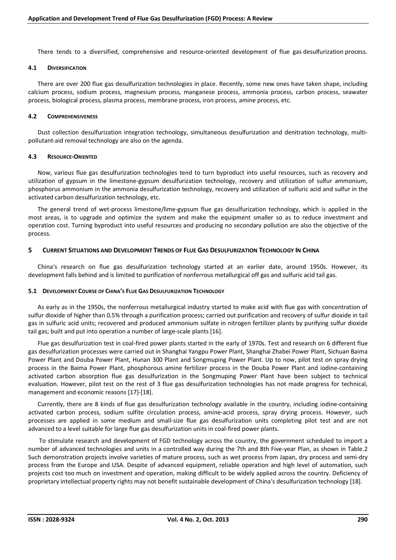There tends to a diversified, comprehensive and resource-oriented development of flue gas desulfurization process.

#### **4.1 DIVERSIFICATION**

There are over 200 flue gas desulfurization technologies in place. Recently, some new ones have taken shape, including calcium process, sodium process, magnesium process, manganese process, ammonia process, carbon process, seawater process, biological process, plasma process, membrane process, iron process, amine process, etc.

#### **4.2 COMPREHENSIVENESS**

Dust collection desulfurization integration technology, simultaneous desulfurization and denitration technology, multipollutant-aid removal technology are also on the agenda.

#### **4.3 RESOURCE-ORIENTED**

Now, various flue gas desulfurization technologies tend to turn byproduct into useful resources, such as recovery and utilization of gypsum in the limestone-gypsum desulfurization technology, recovery and utilization of sulfur ammonium, phosphorus ammonium in the ammonia desulfurization technology, recovery and utilization of sulfuric acid and sulfur in the activated carbon desulfurization technology, etc.

The general trend of wet-process limestone/lime-gypsum flue gas desulfurization technology, which is applied in the most areas, is to upgrade and optimize the system and make the equipment smaller so as to reduce investment and operation cost. Turning byproduct into useful resources and producing no secondary pollution are also the objective of the process.

## **5 CURRENT SITUATIONS AND DEVELOPMENT TRENDS OF FLUE GAS DESULFURIZATION TECHNOLOGY IN CHINA**

China's research on flue gas desulfurization technology started at an earlier date, around 1950s. However, its development falls behind and is limited to purification of nonferrous metallurgical off gas and sulfuric acid tail gas.

#### **5.1 DEVELOPMENT COURSE OF CHINA'S FLUE GAS DESULFURIZATION TECHNOLOGY**

As early as in the 1950s, the nonferrous metallurgical industry started to make acid with flue gas with concentration of sulfur dioxide of higher than 0.5% through a purification process; carried out purification and recovery of sulfur dioxide in tail gas in sulfuric acid units; recovered and produced ammonium sulfate in nitrogen fertilizer plants by purifying sulfur dioxide tail gas; built and put into operation a number of large-scale plants [16].

Flue gas desulfurization test in coal-fired power plants started in the early of 1970s. Test and research on 6 different flue gas desulfurization processes were carried out in Shanghai Yangpu Power Plant, Shanghai Zhabei Power Plant, Sichuan Baima Power Plant and Douba Power Plant, Hunan 300 Plant and Songmuping Power Plant. Up to now, pilot test on spray drying process in the Baima Power Plant, phosphorous amine fertilizer process in the Douba Power Plant and iodine-containing activated carbon absorption flue gas desulfurization in the Songmuping Power Plant have been subject to technical evaluation. However, pilot test on the rest of 3 flue gas desulfurization technologies has not made progress for technical, management and economic reasons [17]-[18].

Currently, there are 8 kinds of flue gas desulfurization technology available in the country, including iodine-containing activated carbon process, sodium sulfite circulation process, amine-acid process, spray drying process. However, such processes are applied in some medium and small-size flue gas desulfurization units completing pilot test and are not advanced to a level suitable for large flue gas desulfurization units in coal-fired power plants.

 To stimulate research and development of FGD technology across the country, the government scheduled to import a number of advanced technologies and units in a controlled way during the 7th and 8th Five-year Plan, as shown in Table.2 Such demonstration projects involve varieties of mature process, such as wet process from Japan, dry process and semi-dry process from the Europe and USA. Despite of advanced equipment, reliable operation and high level of automation, such projects cost too much on investment and operation, making difficult to be widely applied across the country. Deficiency of proprietary intellectual property rights may not benefit sustainable development of China's desulfurization technology [18].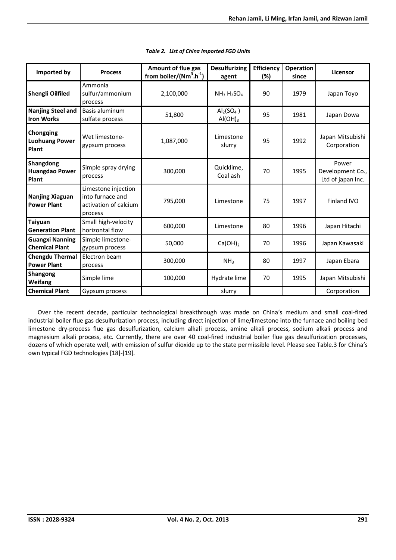| Imported by                                     | <b>Process</b>                                                              | Amount of flue gas<br>from boiler/( $Nm^3.h^{-1}$ ) | <b>Desulfurizing</b><br>agent                           | <b>Efficiency</b><br>(%) | <b>Operation</b><br>since | Licensor                                       |
|-------------------------------------------------|-----------------------------------------------------------------------------|-----------------------------------------------------|---------------------------------------------------------|--------------------------|---------------------------|------------------------------------------------|
| Shengli Oilfiled                                | Ammonia<br>sulfur/ammonium<br>process                                       | 2,100,000                                           | $NH3 H2SO4$                                             | 90                       | 1979                      | Japan Toyo                                     |
| <b>Nanjing Steel and</b><br><b>Iron Works</b>   | Basis aluminum<br>sulfate process                                           | 51,800                                              | $\text{Al}_2$ (SO <sub>4</sub> )<br>AI(OH) <sub>3</sub> | 95                       | 1981                      | Japan Dowa                                     |
| Chongqing<br><b>Luohuang Power</b><br>Plant     | Wet limestone-<br>gypsum process                                            | 1,087,000                                           | Limestone<br>slurry                                     | 95                       | 1992                      | Japan Mitsubishi<br>Corporation                |
| Shangdong<br><b>Huangdao Power</b><br>Plant     | Simple spray drying<br>process                                              | 300,000                                             | Quicklime,<br>Coal ash                                  | 70                       | 1995                      | Power<br>Development Co.,<br>Ltd of japan Inc. |
| Nanjing Xiaguan<br><b>Power Plant</b>           | Limestone injection<br>into furnace and<br>activation of calcium<br>process | 795,000                                             | Limestone                                               | 75                       | 1997                      | Finland IVO                                    |
| Taiyuan<br><b>Generation Plant</b>              | Small high-velocity<br>horizontal flow                                      | 600,000                                             | Limestone                                               | 80                       | 1996                      | Japan Hitachi                                  |
| <b>Guangxi Nanning</b><br><b>Chemical Plant</b> | Simple limestone-<br>gypsum process                                         | 50,000                                              | $Ca(OH)_2$                                              | 70                       | 1996                      | Japan Kawasaki                                 |
| <b>Chengdu Thermal</b><br><b>Power Plant</b>    | Electron beam<br>process                                                    | 300,000                                             | NH <sub>3</sub>                                         | 80                       | 1997                      | Japan Ebara                                    |
| <b>Shangong</b><br>Weifang                      | Simple lime                                                                 | 100,000                                             | Hydrate lime                                            | 70                       | 1995                      | Japan Mitsubishi                               |
| <b>Chemical Plant</b>                           | Gypsum process                                                              |                                                     | slurry                                                  |                          |                           | Corporation                                    |

Over the recent decade, particular technological breakthrough was made on China's medium and small coal-fired industrial boiler flue gas desulfurization process, including direct injection of lime/limestone into the furnace and boiling bed limestone dry-process flue gas desulfurization, calcium alkali process, amine alkali process, sodium alkali process and magnesium alkali process, etc. Currently, there are over 40 coal-fired industrial boiler flue gas desulfurization processes, dozens of which operate well, with emission of sulfur dioxide up to the state permissible level. Please see Table.3 for China's own typical FGD technologies [18]-[19].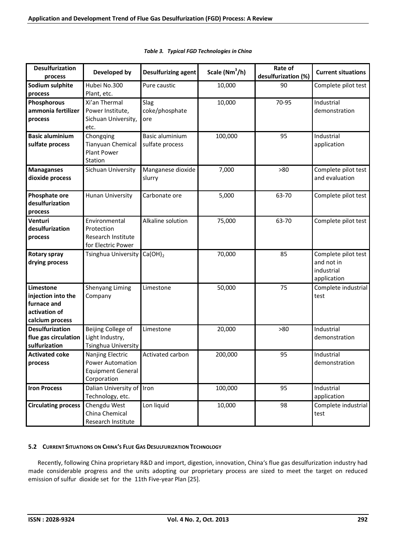| <b>Desulfurization</b><br>process                                                  | Developed by                                                                    | Desulfurizing agent                | Scale (Nm <sup>3</sup> /h) | Rate of<br>desulfurization (%) | <b>Current situations</b>                                      |
|------------------------------------------------------------------------------------|---------------------------------------------------------------------------------|------------------------------------|----------------------------|--------------------------------|----------------------------------------------------------------|
| Sodium sulphite<br>process                                                         | Hubei No.300<br>Plant, etc.                                                     | Pure caustic                       | 10,000                     | 90                             | Complete pilot test                                            |
| Phosphorous<br>ammonia fertilizer<br>process                                       | Xi'an Thermal<br>Power Institute,<br>Sichuan University,<br>etc.                | Slag<br>coke/phosphate<br>ore      | 10,000                     | 70-95                          | Industrial<br>demonstration                                    |
| <b>Basic aluminium</b><br>sulfate process                                          | Chongqing<br>Tianyuan Chemical<br><b>Plant Power</b><br>Station                 | Basic aluminium<br>sulfate process | 100,000                    | 95                             | Industrial<br>application                                      |
| <b>Managanses</b><br>dioxide process                                               | Sichuan University                                                              | Manganese dioxide<br>slurry        | 7,000                      | >80                            | Complete pilot test<br>and evaluation                          |
| Phosphate ore<br>desulfurization<br>process                                        | Hunan University                                                                | Carbonate ore                      | 5,000                      | 63-70                          | Complete pilot test                                            |
| Venturi<br>desulfurization<br>process                                              | Environmental<br>Protection<br>Research Institute<br>for Electric Power         | Alkaline solution                  | 75,000                     | 63-70                          | Complete pilot test                                            |
| Rotary spray<br>drying process                                                     | Tsinghua University                                                             | $Ca(OH)_2$                         | 70,000                     | 85                             | Complete pilot test<br>and not in<br>industrial<br>application |
| Limestone<br>injection into the<br>furnace and<br>activation of<br>calcium process | Shenyang Liming<br>Company                                                      | Limestone                          | 50,000                     | 75                             | Complete industrial<br>test                                    |
| <b>Desulfurization</b><br>flue gas circulation<br>sulfurization                    | Beijing College of<br>Light Industry,<br>Tsinghua University                    | Limestone                          | 20,000                     | >80                            | Industrial<br>demonstration                                    |
| <b>Activated coke</b><br>process                                                   | Nanjing Electric<br>Power Automation<br><b>Equipment General</b><br>Corporation | Activated carbon                   | 200,000                    | 95                             | Industrial<br>demonstration                                    |
| <b>Iron Process</b>                                                                | Dalian University of Iron<br>Technology, etc.                                   |                                    | 100,000                    | 95                             | Industrial<br>application                                      |
| <b>Circulating process</b>                                                         | Chengdu West<br>China Chemical<br>Research Institute                            | Lon liquid                         | 10,000                     | 98                             | Complete industrial<br>test                                    |

| Table 3. Typical FGD Technologies in China |  |
|--------------------------------------------|--|
|--------------------------------------------|--|

#### **5.2 CURRENT SITUATIONS ON CHINA'S FLUE GAS DESULFURIZATION TECHNOLOGY**

Recently, following China proprietary R&D and import, digestion, innovation, China's flue gas desulfurization industry had made considerable progress and the units adopting our proprietary process are sized to meet the target on reduced emission of sulfur dioxide set for the 11th Five-year Plan [25].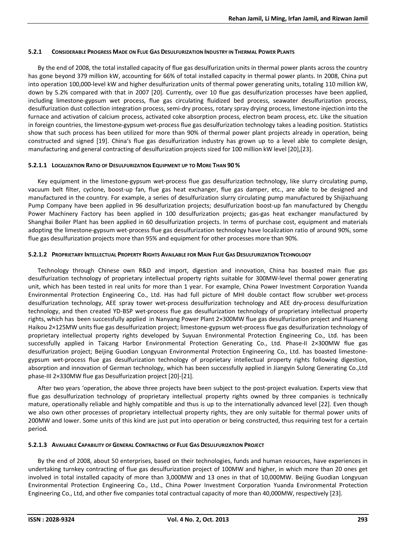#### **5.2.1 CONSIDERABLE PROGRESS MADE ON FLUE GAS DESULFURIZATION INDUSTRY IN THERMAL POWER PLANTS**

By the end of 2008, the total installed capacity of flue gas desulfurization units in thermal power plants across the country has gone beyond 379 million kW, accounting for 66% of total installed capacity in thermal power plants. In 2008, China put into operation 100,000-level kW and higher desulfurization units of thermal power generating units, totaling 110 million kW, down by 5.2% compared with that in 2007 [20]. Currently, over 10 flue gas desulfurization processes have been applied, including limestone-gypsum wet process, flue gas circulating fluidized bed process, seawater desulfurization process, desulfurization dust collection integration process, semi-dry process, rotary spray drying process, limestone injection into the furnace and activation of calcium process, activated coke absorption process, electron beam process, etc. Like the situation in foreign countries, the limestone-gypsum wet-process flue gas desulfurization technology takes a leading position. Statistics show that such process has been utilized for more than 90% of thermal power plant projects already in operation, being constructed and signed [19]. China's flue gas desulfurization industry has grown up to a level able to complete design, manufacturing and general contracting of desulfurization projects sized for 100 million kW level [20],[23].

## **5.2.1.1 LOCALIZATION RATIO OF DESULFURIZATION EQUIPMENT UP TO MORE THAN 90 %**

Key equipment in the limestone-gypsum wet-process flue gas desulfurization technology, like slurry circulating pump, vacuum belt filter, cyclone, boost-up fan, flue gas heat exchanger, flue gas damper, etc., are able to be designed and manufactured in the country. For example, a series of desulfurization slurry circulating pump manufactured by Shijiazhuang Pump Company have been applied in 96 desulfurization projects; desulfurization boost-up fan manufactured by Chengdu Power Machinery Factory has been applied in 100 desulfurization projects; gas-gas heat exchanger manufactured by Shanghai Boiler Plant has been applied in 60 desulfurization projects. In terms of purchase cost, equipment and materials adopting the limestone-gypsum wet-process flue gas desulfurization technology have localization ratio of around 90%, some flue gas desulfurization projects more than 95% and equipment for other processes more than 90%.

#### **5.2.1.2 PROPRIETARY INTELLECTUAL PROPERTY RIGHTS AVAILABLE FOR MAIN FLUE GAS DESULFURIZATION TECHNOLOGY**

Technology through Chinese own R&D and import, digestion and innovation, China has boasted main flue gas desulfurization technology of proprietary intellectual property rights suitable for 300MW-level thermal power generating unit, which has been tested in real units for more than 1 year. For example, China Power Investment Corporation Yuanda Environmental Protection Engineering Co., Ltd. Has had full picture of MHI double contact flow scrubber wet-process desulfurization technology, AEE spray tower wet-process desulfurization technology and AEE dry-process desulfurization technology, and then created YD-BSP wet-process flue gas desulfurization technology of proprietary intellectual property rights, which has been successfully applied in Nanyang Power Plant 2×300MW flue gas desulfurization project and Huaneng Haikou 2×125MW units flue gas desulfurization project; limestone-gypsum wet-process flue gas desulfurization technology of proprietary intellectual property rights developed by Suyuan Environmental Protection Engineering Co., Ltd. has been successfully applied in Taicang Harbor Environmental Protection Generating Co., Ltd. Phase-II 2×300MW flue gas desulfurization project; Beijing Guodian Longyuan Environmental Protection Engineering Co., Ltd. has boasted limestonegypsum wet-process flue gas desulfurization technology of proprietary intellectual property rights following digestion, absorption and innovation of German technology, which has been successfully applied in Jiangyin Sulong Generating Co.,Ltd phase-III 2×330MW flue gas Desulfurization project [20]-[21].

After two years 'operation, the above three projects have been subject to the post-project evaluation. Experts view that flue gas desulfurization technology of proprietary intellectual property rights owned by three companies is technically mature, operationally reliable and highly compatible and thus is up to the internationally advanced level [22]. Even though we also own other processes of proprietary intellectual property rights, they are only suitable for thermal power units of 200MW and lower. Some units of this kind are just put into operation or being constructed, thus requiring test for a certain period.

## **5.2.1.3 AVAILABLE CAPABILITY OF GENERAL CONTRACTING OF FLUE GAS DESULFURIZATION PROJECT**

By the end of 2008, about 50 enterprises, based on their technologies, funds and human resources, have experiences in undertaking turnkey contracting of flue gas desulfurization project of 100MW and higher, in which more than 20 ones get involved in total installed capacity of more than 3,000MW and 13 ones in that of 10,000MW. Beijing Guodian Longyuan Environmental Protection Engineering Co., Ltd., China Power Investment Corporation Yuanda Environmental Protection Engineering Co., Ltd, and other five companies total contractual capacity of more than 40,000MW, respectively [23].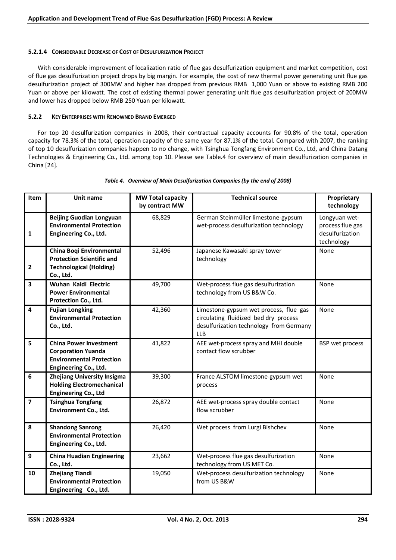#### **5.2.1.4 CONSIDERABLE DECREASE OF COST OF DESULFURIZATION PROJECT**

With considerable improvement of localization ratio of flue gas desulfurization equipment and market competition, cost of flue gas desulfurization project drops by big margin. For example, the cost of new thermal power generating unit flue gas desulfurization project of 300MW and higher has dropped from previous RMB 1,000 Yuan or above to existing RMB 200 Yuan or above per kilowatt. The cost of existing thermal power generating unit flue gas desulfurization project of 200MW and lower has dropped below RMB 250 Yuan per kilowatt.

#### **5.2.2 KEY ENTERPRISES WITH RENOWNED BRAND EMERGED**

For top 20 desulfurization companies in 2008, their contractual capacity accounts for 90.8% of the total, operation capacity for 78.3% of the total, operation capacity of the same year for 87.1% of the total. Compared with 2007, the ranking of top 10 desulfurization companies happen to no change, with Tsinghua Tongfang Environment Co., Ltd, and China Datang Technologies & Engineering Co., Ltd. among top 10. Please see Table.4 for overview of main desulfurization companies in China [24].

| Item                    | Unit name                                                                                                              | <b>MW Total capacity</b><br>by contract MW | <b>Technical source</b>                                                                                                                  | Proprietary<br>technology                                          |
|-------------------------|------------------------------------------------------------------------------------------------------------------------|--------------------------------------------|------------------------------------------------------------------------------------------------------------------------------------------|--------------------------------------------------------------------|
| $\mathbf{1}$            | <b>Beijing Guodian Longyuan</b><br><b>Environmental Protection</b><br>Engineering Co., Ltd.                            | 68,829                                     | German Steinmüller limestone-gypsum<br>wet-process desulfurization technology                                                            | Longyuan wet-<br>process flue gas<br>desulfurization<br>technology |
| $\overline{\mathbf{2}}$ | China Boqi Environmental<br><b>Protection Scientific and</b><br><b>Technological (Holding)</b><br>Co., Ltd.            | 52,496                                     | Japanese Kawasaki spray tower<br>technology                                                                                              | None                                                               |
| $\overline{\mathbf{3}}$ | Wuhan Kaidi Electric<br><b>Power Environmental</b><br>Protection Co., Ltd.                                             | 49,700                                     | Wet-process flue gas desulfurization<br>technology from US B&W Co.                                                                       | None                                                               |
| 4                       | <b>Fujian Longking</b><br><b>Environmental Protection</b><br>Co., Ltd.                                                 | 42,360                                     | Limestone-gypsum wet process, flue gas<br>circulating fluidized bed dry process<br>desulfurization technology from Germany<br><b>LLB</b> | None                                                               |
| 5                       | <b>China Power Investment</b><br><b>Corporation Yuanda</b><br><b>Environmental Protection</b><br>Engineering Co., Ltd. | 41,822                                     | AEE wet-process spray and MHI double<br>contact flow scrubber                                                                            | BSP wet process                                                    |
| $\boldsymbol{6}$        | Zhejiang University Insigma<br><b>Holding Electromechanical</b><br>Engineering Co., Ltd                                | 39,300                                     | France ALSTOM limestone-gypsum wet<br>process                                                                                            | None                                                               |
| $\overline{\mathbf{z}}$ | <b>Tsinghua Tongfang</b><br>Environment Co., Ltd.                                                                      | 26,872                                     | AEE wet-process spray double contact<br>flow scrubber                                                                                    | None                                                               |
| 8                       | <b>Shandong Sanrong</b><br><b>Environmental Protection</b><br>Engineering Co., Ltd.                                    | 26,420                                     | Wet process from Lurgi Bishchev                                                                                                          | None                                                               |
| 9                       | <b>China Huadian Engineering</b><br>Co., Ltd.                                                                          | 23,662                                     | Wet-process flue gas desulfurization<br>technology from US MET Co.                                                                       | None                                                               |
| 10                      | <b>Zhejiang Tiandi</b><br><b>Environmental Protection</b><br>Engineering Co., Ltd.                                     | 19,050                                     | Wet-process desulfurization technology<br>from US B&W                                                                                    | None                                                               |

#### *Table 4. Overview of Main Desulfurization Companies (by the end of 2008)*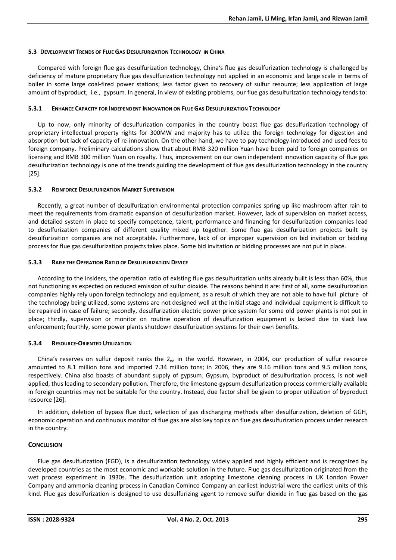#### **5.3 DEVELOPMENT TRENDS OF FLUE GAS DESULFURIZATION TECHNOLOGY IN CHINA**

Compared with foreign flue gas desulfurization technology, China's flue gas desulfurization technology is challenged by deficiency of mature proprietary flue gas desulfurization technology not applied in an economic and large scale in terms of boiler in some large coal-fired power stations; less factor given to recovery of sulfur resource; less application of large amount of byproduct, i.e., gypsum. In general, in view of existing problems, our flue gas desulfurization technology tends to:

#### **5.3.1 ENHANCE CAPACITY FOR INDEPENDENT INNOVATION ON FLUE GAS DESULFURIZATION TECHNOLOGY**

Up to now, only minority of desulfurization companies in the country boast flue gas desulfurization technology of proprietary intellectual property rights for 300MW and majority has to utilize the foreign technology for digestion and absorption but lack of capacity of re-innovation. On the other hand, we have to pay technology-introduced and used fees to foreign company. Preliminary calculations show that about RMB 320 million Yuan have been paid to foreign companies on licensing and RMB 300 million Yuan on royalty. Thus, improvement on our own independent innovation capacity of flue gas desulfurization technology is one of the trends guiding the development of flue gas desulfurization technology in the country [25].

#### **5.3.2 REINFORCE DESULFURIZATION MARKET SUPERVISION**

Recently, a great number of desulfurization environmental protection companies spring up like mashroom after rain to meet the requirements from dramatic expansion of desulfurization market. However, lack of supervision on market access, and detailed system in place to specify competence, talent, performance and financing for desulfurization companies lead to desulfurization companies of different quality mixed up together. Some flue gas desulfurization projects built by desulfurization companies are not acceptable. Furthermore, lack of or improper supervision on bid invitation or bidding process for flue gas desulfurization projects takes place. Some bid invitation or bidding processes are not put in place.

#### **5.3.3 RAISE THE OPERATION RATIO OF DESULFURIZATION DEVICE**

According to the insiders, the operation ratio of existing flue gas desulfurization units already built is less than 60%, thus not functioning as expected on reduced emission of sulfur dioxide. The reasons behind it are: first of all, some desulfurization companies highly rely upon foreign technology and equipment, as a result of which they are not able to have full picture of the technology being utilized, some systems are not designed well at the initial stage and individual equipment is difficult to be repaired in case of failure; secondly, desulfurization electric power price system for some old power plants is not put in place; thirdly, supervision or monitor on routine operation of desulfurization equipment is lacked due to slack law enforcement; fourthly, some power plants shutdown desulfurization systems for their own benefits.

## **5.3.4 RESOURCE-ORIENTED UTILIZATION**

China's reserves on sulfur deposit ranks the  $2_{nd}$  in the world. However, in 2004, our production of sulfur resource amounted to 8.1 million tons and imported 7.34 million tons; in 2006, they are 9.16 million tons and 9.5 million tons, respectively. China also boasts of abundant supply of gypsum. Gypsum, byproduct of desulfurization process, is not well applied, thus leading to secondary pollution. Therefore, the limestone-gypsum desulfurization process commercially available in foreign countries may not be suitable for the country. Instead, due factor shall be given to proper utilization of byproduct resource [26].

In addition, deletion of bypass flue duct, selection of gas discharging methods after desulfurization, deletion of GGH, economic operation and continuous monitor of flue gas are also key topics on flue gas desulfurization process under research in the country.

## **CONCLUSION**

Flue gas desulfurization (FGD), is a desulfurization technology widely applied and highly efficient and is recognized by developed countries as the most economic and workable solution in the future. Flue gas desulfurization originated from the wet process experiment in 1930s. The desulfurization unit adopting limestone cleaning process in UK London Power Company and ammonia cleaning process in Canadian Cominco Company an earliest industrial were the earliest units of this kind. Flue gas desulfurization is designed to use desulfurizing agent to remove sulfur dioxide in flue gas based on the gas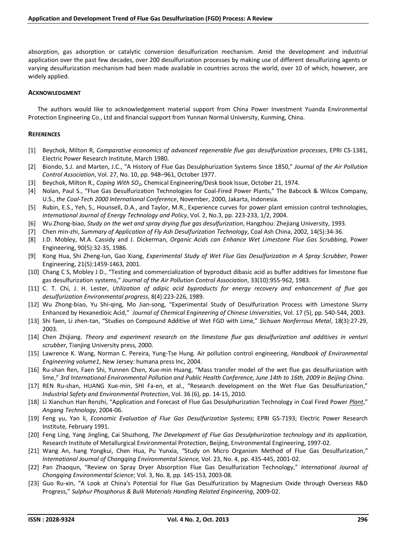absorption, gas adsorption or catalytic conversion desulfurization mechanism. Amid the development and industrial application over the past few decades, over 200 desulfurization processes by making use of different desulfurizing agents or varying desulfurization mechanism had been made available in countries across the world, over 10 of which, however, are widely applied.

#### **ACKNOWLEDGMENT**

The authors would like to acknowledgement material support from China Power Investment Yuanda Environmental Protection Engineering Co., Ltd and financial support from Yunnan Normal University, Kunming, China.

#### **REFERENCES**

- [1] Beychok, Milton R, *Comparative economics of advanced regenerable flue gas desulfurization processes*, EPRI CS-1381, Electric Power Research Institute, March 1980.
- [2] Biondo, S.J. and Marten, J.C., "A History of Flue Gas Desulphurization Systems Since 1850," *Journal of the Air Pollution Control Association*, Vol. 27, No. 10, pp. 948–961, October 1977.
- [3] Beychok, Milton R*., Coping With SO2*, Chemical Engineering/Desk book Issue, October 21, 1974.
- [4] Nolan, Paul S., "Flue Gas Desulfurization Technologies for Coal-Fired Power Plants," The Babcock & Wilcox Company, U.S., *the Coal-Tech 2000 International Conference*, November, 2000, Jakarta, Indonesia.
- [5] Rubin, E.S., Yeh, S., Hounsell, D.A., and Taylor, M.R., Experience curves for power plant emission control technologies, *International Journal of Energy Technology and Policy*, Vol. 2, No.3, pp. 223-233, 1/2, 2004.
- [6] Wu Zhong-biao, *Study on the wet and spray drying flue gas desulfurization*, Hangzhou: Zhejiang University, 1993.
- [7] Chen min-zhi, *Summary of Application of Fly Ash Desulfurization Technology*, Coal Ash China, 2002, 14(5):34-36.
- [8] J.D. Mobley, M.A. Cassidy and J. Dickerman, *Organic Acids can Enhance Wet Limestone Flue Gas Scrubbing*, Power Engineering, 90(5):32-35, 1986.
- [9] Kong Hua, Shi Zheng-lun, Gao Xiang, *Experimental Study of Wet Flue Gas Desulfurization in A Spray Scrubber*, Power Engineering, 21(5):1459-1463, 2001.
- [10] Chang C S, Mobley J D., "Testing and commercialization of byproduct dibasic acid as buffer additives for limestone flue gas desulfurization systems," *Journal of the Air Pollution Control Association*, 33(10):955-962, 1983.
- [11] C. T. Chi, J. H. Lester, *Utilization of adipic acid byproducts for energy recovery and enhancement of flue gas desulfurization Environmental progress*, 8(4):223-226, 1989.
- [12] Wu Zhong-biao, Yu Shi-qing, Mo Jian-song, "Experimental Study of Desulfurization Process with Limestone Slurry Enhanced by Hexanedioic Acid," *Journal of Chemical Engineering of Chinese Universities*, Vol. 17 (5), pp. 540-544, 2003.
- [13] Shi faen, Li zhen-tan, "Studies on Compound Additive of Wet FGD with Lime," *Sichuan Nonferrous Metal*, 18(3):27-29, 2003.
- [14] Chen Zhijiang. *Theory and experiment research on the limestone flue gas desulfurization and additives in venturi scrubber*, Tianjing University press, 2000.
- [15] Lawrence K. Wang, Norman C. Pereira, Yung-Tse Hung. Air pollution control engineering, *Handbook of Environmental Engineering volume1*, New Jersey: humana press Inc, 2004.
- [16] Ru-shan Ren, Faen Shi, Yunnen Chen, Xue-min Huang, "Mass transfer model of the wet flue gas desulfurization with lime," *3rd International Environmental Pollution and Public Health Conference, June 14th to 16th, 2009 in Beijing China*.
- [17] REN Ru-shan, HUANG Xue-min, SHI Fa-en, et al., "Research development on the Wet Flue Gas Desulfurization," *Industrial Safety and Environmental Protection*, Vol. 36 (6), pp. 14-15, 2010.
- [18] Li Xianchun Han Renzhi, "Application and Forecast of Flue Gas Desulphurization Technology in Coal Fired Power *Plant*," *Angang Technology*, 2004-06.
- [19] Feng yu, Yan li, *Economic Evaluation of Flue Gas Desulfurization Systems*; EPRI GS-7193; Electric Power Research Institute*,* February 1991.
- [20] Feng Ling, Yang Jingling, Cai Shuzhong, *The Development of Flue Gas Desulphurization technology and its application,*  Research Institute of Metallurgical Environmental Protection, Beijing, Environmental Engineering, 1997-02.
- [21] Wang An, hang Yongkui, Chen Hua, Pu Yunxia, *"*Study on Micro Organism Method of Flue Gas Desulfurization,*" International Journal of Chongqing Environmental Science,* Vol. 23, No. 4, pp. 435-445, 2001-02.
- [22] Pan Zhaoqun, "Review on Spray Dryer Absorption Flue Gas Desulfurization Technology," *International Journal of Chongqing Environmental Science*; Vol. 3, No. 8, pp. 145-153, 2003-08.
- [23] Guo Ru-xin, "A Look at China's Potential for Flue Gas Desulfurization by Magnesium Oxide through Overseas R&D Progress," *Sulphur Phosphorus & Bulk Materials Handling Related Engineering*, 2009-02.